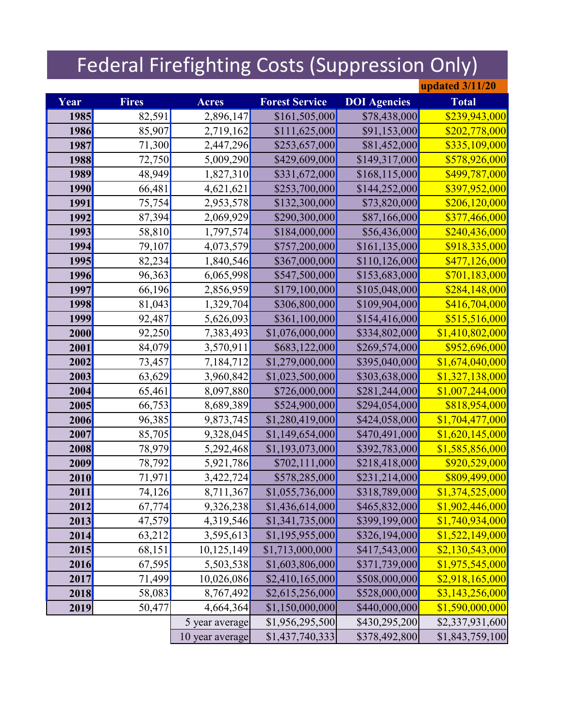## Federal Firefighting Costs (Suppression Only)

|      |              |                 |                       |                     | <b>updated 3/11/20</b> |
|------|--------------|-----------------|-----------------------|---------------------|------------------------|
| Year | <b>Fires</b> | <b>Acres</b>    | <b>Forest Service</b> | <b>DOI</b> Agencies | <b>Total</b>           |
| 1985 | 82,591       | 2,896,147       | \$161,505,000         | \$78,438,000        | \$239,943,000          |
| 1986 | 85,907       | 2,719,162       | \$111,625,000         | \$91,153,000        | \$202,778,000          |
| 1987 | 71,300       | 2,447,296       | \$253,657,000         | \$81,452,000        | \$335,109,000          |
| 1988 | 72,750       | 5,009,290       | \$429,609,000         | \$149,317,000       | \$578,926,000          |
| 1989 | 48,949       | 1,827,310       | \$331,672,000         | \$168,115,000       | \$499,787,000          |
| 1990 | 66,481       | 4,621,621       | \$253,700,000         | \$144,252,000       | \$397,952,000          |
| 1991 | 75,754       | 2,953,578       | \$132,300,000         | \$73,820,000        | \$206,120,000          |
| 1992 | 87,394       | 2,069,929       | \$290,300,000         | \$87,166,000        | \$377,466,000          |
| 1993 | 58,810       | 1,797,574       | \$184,000,000         | \$56,436,000        | \$240,436,000          |
| 1994 | 79,107       | 4,073,579       | \$757,200,000         | \$161,135,000       | \$918,335,000          |
| 1995 | 82,234       | 1,840,546       | \$367,000,000         | \$110,126,000       | \$477,126,000          |
| 1996 | 96,363       | 6,065,998       | \$547,500,000         | \$153,683,000       | \$701,183,000          |
| 1997 | 66,196       | 2,856,959       | \$179,100,000         | \$105,048,000       | \$284,148,000          |
| 1998 | 81,043       | 1,329,704       | \$306,800,000         | \$109,904,000       | \$416,704,000          |
| 1999 | 92,487       | 5,626,093       | \$361,100,000         | \$154,416,000       | \$515,516,000          |
| 2000 | 92,250       | 7,383,493       | \$1,076,000,000       | \$334,802,000       | \$1,410,802,000        |
| 2001 | 84,079       | 3,570,911       | \$683,122,000         | \$269,574,000       | \$952,696,000          |
| 2002 | 73,457       | 7,184,712       | \$1,279,000,000       | \$395,040,000       | \$1,674,040,000        |
| 2003 | 63,629       | 3,960,842       | \$1,023,500,000       | \$303,638,000       | \$1,327,138,000        |
| 2004 | 65,461       | 8,097,880       | \$726,000,000         | \$281,244,000       | \$1,007,244,000        |
| 2005 | 66,753       | 8,689,389       | \$524,900,000         | \$294,054,000       | \$818,954,000          |
| 2006 | 96,385       | 9,873,745       | \$1,280,419,000       | \$424,058,000       | \$1,704,477,000        |
| 2007 | 85,705       | 9,328,045       | \$1,149,654,000       | \$470,491,000       | \$1,620,145,000        |
| 2008 | 78,979       | 5,292,468       | \$1,193,073,000       | \$392,783,000       | \$1,585,856,000        |
| 2009 | 78,792       | 5,921,786       | \$702,111,000         | \$218,418,000       | \$920,529,000          |
| 2010 | 71,971       | 3,422,724       | \$578,285,000         | \$231,214,000       | \$809,499,000          |
| 2011 | 74,126       | 8,711,367       | \$1,055,736,000       | \$318,789,000       | \$1,374,525,000        |
| 2012 | 67,774       | 9,326,238       | \$1,436,614,000       | \$465,832,000       | \$1,902,446,000        |
| 2013 | 47,579       | 4,319,546       | \$1,341,735,000       | \$399,199,000       | \$1,740,934,000        |
| 2014 | 63,212       | 3,595,613       | \$1,195,955,000       | \$326,194,000       | \$1,522,149,000        |
| 2015 | 68,151       | 10,125,149      | \$1,713,000,000       | \$417,543,000       | \$2,130,543,000        |
| 2016 | 67,595       | 5,503,538       | \$1,603,806,000       | \$371,739,000       | \$1,975,545,000        |
| 2017 | 71,499       | 10,026,086      | \$2,410,165,000       | \$508,000,000       | \$2,918,165,000        |
| 2018 | 58,083       | 8,767,492       | \$2,615,256,000       | \$528,000,000       | \$3,143,256,000        |
| 2019 | 50,477       | 4,664,364       | \$1,150,000,000       | \$440,000,000       | \$1,590,000,000        |
|      |              | 5 year average  | \$1,956,295,500       | \$430,295,200       | \$2,337,931,600        |
|      |              | 10 year average | \$1,437,740,333       | \$378,492,800       | \$1,843,759,100        |